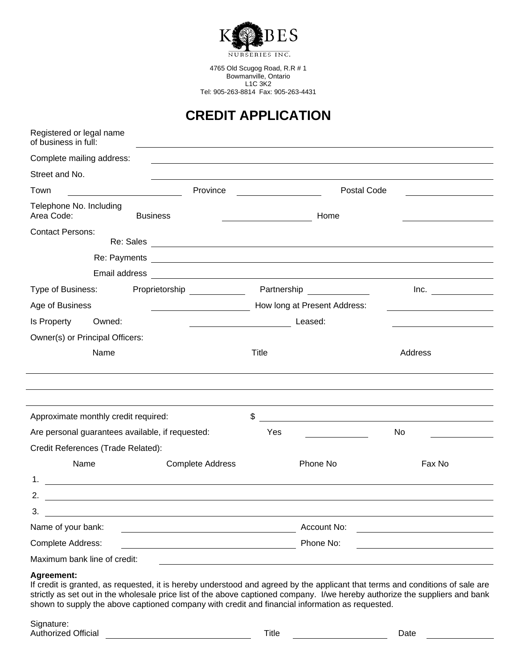

4765 Old Scugog Road, R.R # 1 Bowmanville, Ontario L1C 3K2 Tel: 905-263-8814 Fax: 905-263-4431

## **CREDIT APPLICATION**

| Registered or legal name<br>of business in full: |                                                                                                                                                                                                                                      |                              |                                               |         |  |
|--------------------------------------------------|--------------------------------------------------------------------------------------------------------------------------------------------------------------------------------------------------------------------------------------|------------------------------|-----------------------------------------------|---------|--|
| Complete mailing address:                        |                                                                                                                                                                                                                                      |                              |                                               |         |  |
| Street and No.                                   |                                                                                                                                                                                                                                      |                              |                                               |         |  |
| Province<br>Town                                 |                                                                                                                                                                                                                                      |                              | <b>Postal Code</b>                            |         |  |
| Telephone No. Including<br>Area Code:            | <b>Business</b>                                                                                                                                                                                                                      |                              | Home                                          |         |  |
| <b>Contact Persons:</b>                          | Re: Sales                                                                                                                                                                                                                            |                              |                                               |         |  |
|                                                  | Re: Payments <b>contract and the contract of the contract of the contract of the contract of the contract of the contract of the contract of the contract of the contract of the contract of the contract of the contract of the</b> |                              |                                               |         |  |
|                                                  | Email address <b>Communication</b> Communication and Communication Communication Communication Communication Communication                                                                                                           |                              |                                               |         |  |
| Type of Business:                                | Proprietorship _____________                                                                                                                                                                                                         |                              | Partnership _________                         | Inc.    |  |
| Age of Business                                  |                                                                                                                                                                                                                                      | How long at Present Address: |                                               |         |  |
| Is Property<br>Owned:                            |                                                                                                                                                                                                                                      |                              | Leased:                                       |         |  |
| Owner(s) or Principal Officers:                  |                                                                                                                                                                                                                                      |                              |                                               |         |  |
| Name                                             |                                                                                                                                                                                                                                      | Title                        |                                               | Address |  |
|                                                  |                                                                                                                                                                                                                                      |                              |                                               |         |  |
|                                                  |                                                                                                                                                                                                                                      |                              |                                               |         |  |
| Approximate monthly credit required:             |                                                                                                                                                                                                                                      | \$                           |                                               |         |  |
| Are personal guarantees available, if requested: |                                                                                                                                                                                                                                      | Yes                          |                                               | No.     |  |
| Credit References (Trade Related):               |                                                                                                                                                                                                                                      |                              |                                               |         |  |
| Name                                             | <b>Complete Address</b>                                                                                                                                                                                                              |                              | Phone No                                      | Fax No  |  |
| 1.                                               | <u> 1989 - Johann Harry Harry Harry Harry Harry Harry Harry Harry Harry Harry Harry Harry Harry Harry Harry Harry</u>                                                                                                                |                              |                                               |         |  |
| 2.                                               | <u> 1989 - Johann Barn, mars et al. (b. 1989)</u>                                                                                                                                                                                    |                              |                                               |         |  |
| 3.                                               | <u> 1980 - Jan Stein Stein Stein Stein Stein Stein Stein Stein Stein Stein Stein Stein Stein Stein Stein Stein S</u>                                                                                                                 |                              |                                               |         |  |
| Name of your bank:                               |                                                                                                                                                                                                                                      | Account No:                  | <u> 1980 - Andrea Andrew Maria (h. 1980).</u> |         |  |
| Complete Address:                                | <u> 1980 - Johann Barn, mars eta bainar eta baina eta baina eta baina eta baina eta baina eta baina eta baina e</u>                                                                                                                  | Phone No:                    |                                               |         |  |
| Maximum bank line of credit:                     |                                                                                                                                                                                                                                      |                              |                                               |         |  |

## **Agreement:**

If credit is granted, as requested, it is hereby understood and agreed by the applicant that terms and conditions of sale are strictly as set out in the wholesale price list of the above captioned company. I/we hereby authorize the suppliers and bank shown to supply the above captioned company with credit and financial information as requested.

Signature: Authorized Official **National Contract Contract Contract Contract Contract Contract Contract Contract Contract Contract Contract Contract Contract Contract Contract Contract Contract Contract Contract Contract Contract Con**